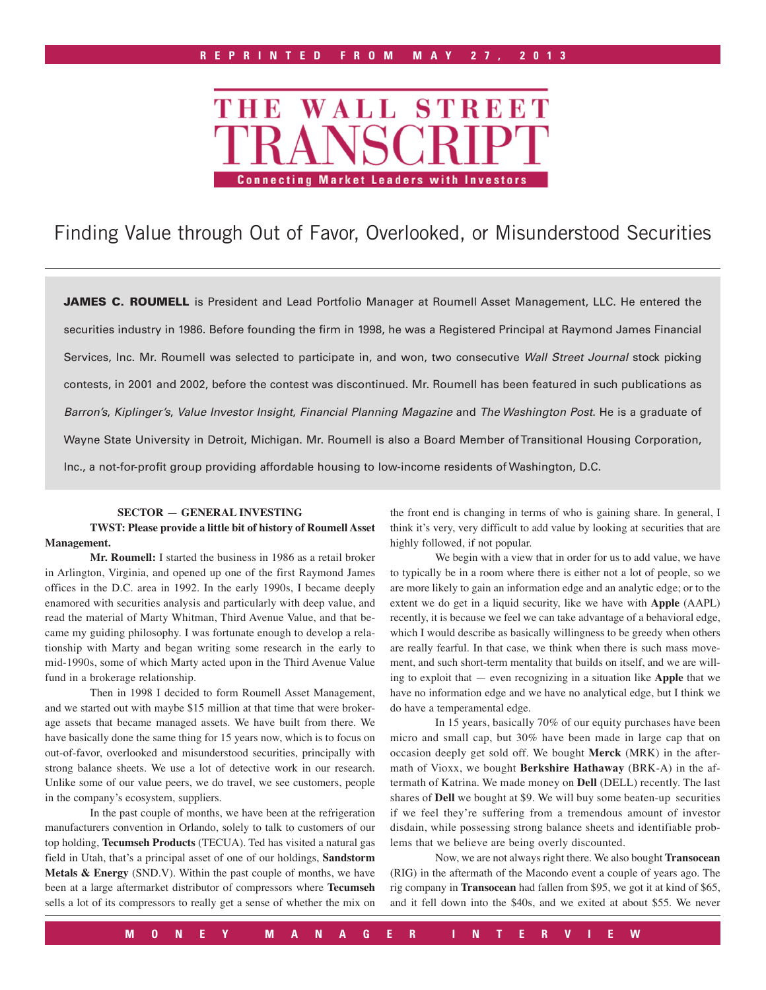# STREET **WALL** THE **Connecting Market Leaders with Investors**

## Finding Value through Out of Favor, Overlooked, or Misunderstood Securities

JAMES C. ROUMELL is President and Lead Portfolio Manager at Roumell Asset Management, LLC. He entered the securities industry in 1986. Before founding the firm in 1998, he was a Registered Principal at Raymond James Financial Services, Inc. Mr. Roumell was selected to participate in, and won, two consecutive *Wall Street Journal* stock picking contests, in 2001 and 2002, before the contest was discontinued. Mr. Roumell has been featured in such publications as *Barron's*, *Kiplinger's*, *Value Investor Insight*, *Financial Planning Magazine* and *The Washington Post*. He is a graduate of Wayne State University in Detroit, Michigan. Mr. Roumell is also a Board Member of Transitional Housing Corporation, Inc., a not-for-profit group providing affordable housing to low-income residents of Washington, D.C.

#### **SECTOR — GENERAL INVESTING**

#### **TWST: Please provide a little bit of history of Roumell Asset Management.**

**Mr. Roumell:** I started the business in 1986 as a retail broker in Arlington, Virginia, and opened up one of the first Raymond James offices in the D.C. area in 1992. In the early 1990s, I became deeply enamored with securities analysis and particularly with deep value, and read the material of Marty Whitman, Third Avenue Value, and that became my guiding philosophy. I was fortunate enough to develop a relationship with Marty and began writing some research in the early to mid-1990s, some of which Marty acted upon in the Third Avenue Value fund in a brokerage relationship.

Then in 1998 I decided to form Roumell Asset Management, and we started out with maybe \$15 million at that time that were brokerage assets that became managed assets. We have built from there. We have basically done the same thing for 15 years now, which is to focus on out-of-favor, overlooked and misunderstood securities, principally with strong balance sheets. We use a lot of detective work in our research. Unlike some of our value peers, we do travel, we see customers, people in the company's ecosystem, suppliers.

In the past couple of months, we have been at the refrigeration manufacturers convention in Orlando, solely to talk to customers of our top holding, **Tecumseh Products** (TECUA). Ted has visited a natural gas field in Utah, that's a principal asset of one of our holdings, **Sandstorm Metals & Energy** (SND.V). Within the past couple of months, we have been at a large aftermarket distributor of compressors where **Tecumseh** sells a lot of its compressors to really get a sense of whether the mix on the front end is changing in terms of who is gaining share. In general, I think it's very, very difficult to add value by looking at securities that are highly followed, if not popular.

We begin with a view that in order for us to add value, we have to typically be in a room where there is either not a lot of people, so we are more likely to gain an information edge and an analytic edge; or to the extent we do get in a liquid security, like we have with **Apple** (AAPL) recently, it is because we feel we can take advantage of a behavioral edge, which I would describe as basically willingness to be greedy when others are really fearful. In that case, we think when there is such mass movement, and such short-term mentality that builds on itself, and we are willing to exploit that — even recognizing in a situation like **Apple** that we have no information edge and we have no analytical edge, but I think we do have a temperamental edge.

In 15 years, basically 70% of our equity purchases have been micro and small cap, but 30% have been made in large cap that on occasion deeply get sold off. We bought **Merck** (MRK) in the aftermath of Vioxx, we bought **Berkshire Hathaway** (BRK-A) in the aftermath of Katrina. We made money on **Dell** (DELL) recently. The last shares of **Dell** we bought at \$9. We will buy some beaten-up securities if we feel they're suffering from a tremendous amount of investor disdain, while possessing strong balance sheets and identifiable problems that we believe are being overly discounted.

Now, we are not always right there. We also bought **Transocean** (RIG) in the aftermath of the Macondo event a couple of years ago. The rig company in **Transocean** had fallen from \$95, we got it at kind of \$65, and it fell down into the \$40s, and we exited at about \$55. We never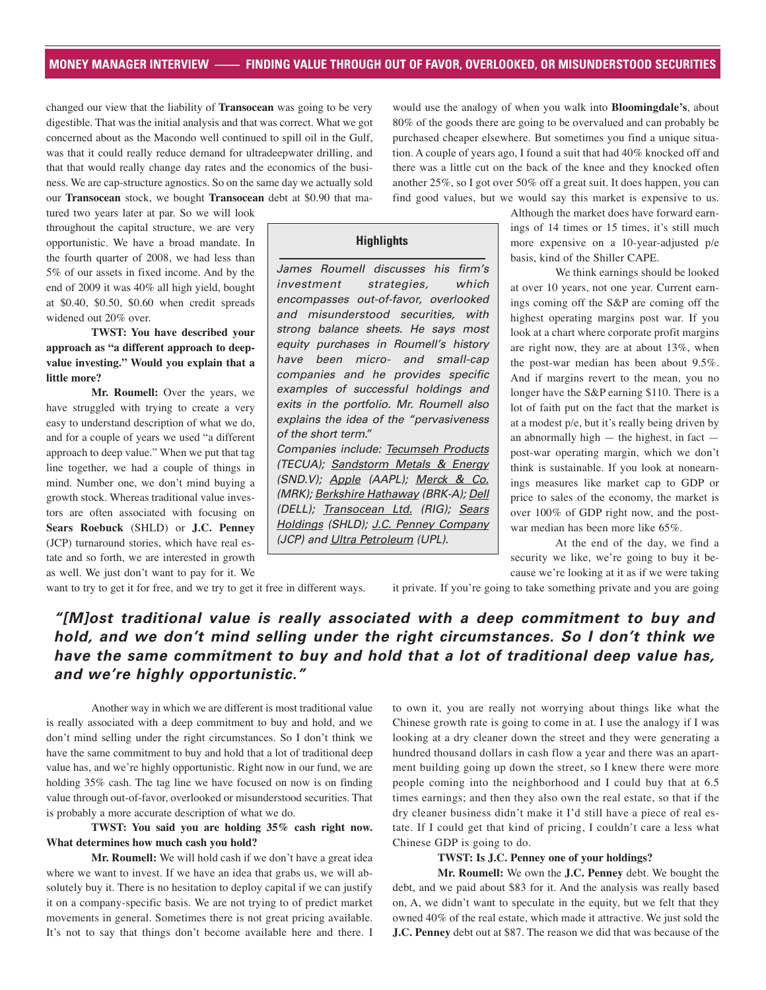#### **MONEY MANAGER INTERVIEW —— FINDING VALUE THROUGH OUT OF FAVOR, OVERLOOKED, OR MISUNDERSTOOD SECURITIES**

changed our view that the liability of **Transocean** was going to be very digestible. That was the initial analysis and that was correct. What we got concerned about as the Macondo well continued to spill oil in the Gulf, was that it could really reduce demand for ultradeepwater drilling, and that that would really change day rates and the economics of the business. We are cap-structure agnostics. So on the same day we actually sold our **Transocean** stock, we bought **Transocean** debt at \$0.90 that mawould use the analogy of when you walk into **Bloomingdale's**, about 80% of the goods there are going to be overvalued and can probably be purchased cheaper elsewhere. But sometimes you find a unique situation. A couple of years ago, I found a suit that had 40% knocked off and there was a little cut on the back of the knee and they knocked often another 25%, so I got over 50% off a great suit. It does happen, you can find good values, but we would say this market is expensive to us.

tured two years later at par. So we will look throughout the capital structure, we are very opportunistic. We have a broad mandate. In the fourth quarter of 2008, we had less than 5% of our assets in fixed income. And by the end of 2009 it was 40% all high yield, bought at \$0.40, \$0.50, \$0.60 when credit spreads widened out 20% over.

### **TWST: You have described your approach as "a different approach to deepvalue investing." Would you explain that a little more?**

**Mr. Roumell:** Over the years, we have struggled with trying to create a very easy to understand description of what we do, and for a couple of years we used "a different approach to deep value." When we put that tag line together, we had a couple of things in mind. Number one, we don't mind buying a growth stock. Whereas traditional value investors are often associated with focusing on **Sears Roebuck** (SHLD) or **J.C. Penney** (JCP) turnaround stories, which have real estate and so forth, we are interested in growth as well. We just don't want to pay for it. We

**Highlights**

James Roumell discusses his firm's investment strategies, which encompasses out-of-favor, overlooked and misunderstood securities, with strong balance sheets. He says most equity purchases in Roumell's history have been micro- and small-cap companies and he provides specific examples of successful holdings and exits in the portfolio. Mr. Roumell also explains the idea of the "pervasiveness of the short term."

Companies include: Tecumseh Products (TECUA); Sandstorm Metals & Energy (SND.V); Apple (AAPL); Merck & Co. (MRK); Berkshire Hathaway (BRK-A); Dell (DELL); Transocean Ltd. (RIG); Sears Holdings (SHLD); J.C. Penney Company (JCP) and Ultra Petroleum (UPL).

Although the market does have forward earnings of 14 times or 15 times, it's still much more expensive on a 10-year-adjusted p/e basis, kind of the Shiller CAPE.

We think earnings should be looked at over 10 years, not one year. Current earnings coming off the S&P are coming off the highest operating margins post war. If you look at a chart where corporate profit margins are right now, they are at about 13%, when the post-war median has been about 9.5%. And if margins revert to the mean, you no longer have the S&P earning \$110. There is a lot of faith put on the fact that the market is at a modest p/e, but it's really being driven by an abnormally high  $-$  the highest, in fact  $$ post-war operating margin, which we don't think is sustainable. If you look at nonearnings measures like market cap to GDP or price to sales of the economy, the market is over 100% of GDP right now, and the postwar median has been more like 65%.

At the end of the day, we find a security we like, we're going to buy it because we're looking at it as if we were taking

it private. If you're going to take something private and you are going

## *"[M]ost traditional value is really associated with a deep commitment to buy and hold, and we don't mind selling under the right circumstances. So I don't think we have the same commitment to buy and hold that a lot of traditional deep value has, and we're highly opportunistic."*

Another way in which we are different is most traditional value is really associated with a deep commitment to buy and hold, and we don't mind selling under the right circumstances. So I don't think we have the same commitment to buy and hold that a lot of traditional deep value has, and we're highly opportunistic. Right now in our fund, we are holding 35% cash. The tag line we have focused on now is on finding value through out-of-favor, overlooked or misunderstood securities. That is probably a more accurate description of what we do.

want to try to get it for free, and we try to get it free in different ways.

**TWST: You said you are holding 35% cash right now. What determines how much cash you hold?** 

**Mr. Roumell:** We will hold cash if we don't have a great idea where we want to invest. If we have an idea that grabs us, we will absolutely buy it. There is no hesitation to deploy capital if we can justify it on a company-specific basis. We are not trying to of predict market movements in general. Sometimes there is not great pricing available. It's not to say that things don't become available here and there. I

to own it, you are really not worrying about things like what the Chinese growth rate is going to come in at. I use the analogy if I was looking at a dry cleaner down the street and they were generating a hundred thousand dollars in cash flow a year and there was an apartment building going up down the street, so I knew there were more people coming into the neighborhood and I could buy that at 6.5 times earnings; and then they also own the real estate, so that if the dry cleaner business didn't make it I'd still have a piece of real estate. If I could get that kind of pricing, I couldn't care a less what Chinese GDP is going to do.

#### **TWST: Is J.C. Penney one of your holdings?**

**Mr. Roumell:** We own the **J.C. Penney** debt. We bought the debt, and we paid about \$83 for it. And the analysis was really based on, A, we didn't want to speculate in the equity, but we felt that they owned 40% of the real estate, which made it attractive. We just sold the **J.C. Penney** debt out at \$87. The reason we did that was because of the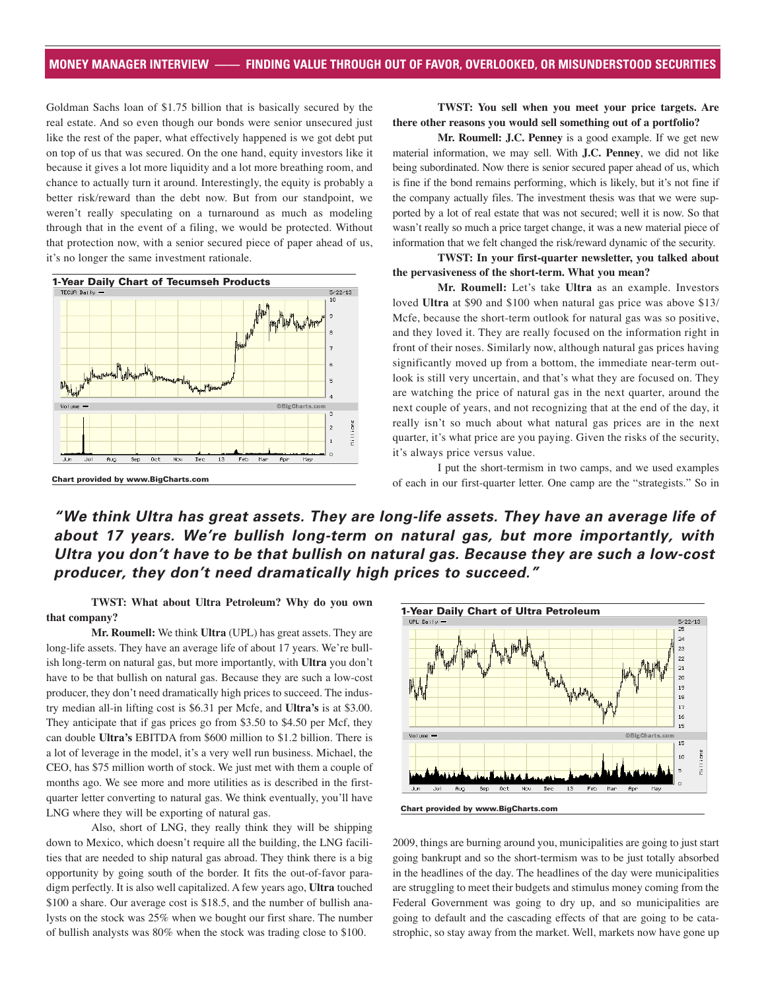Goldman Sachs loan of \$1.75 billion that is basically secured by the real estate. And so even though our bonds were senior unsecured just like the rest of the paper, what effectively happened is we got debt put on top of us that was secured. On the one hand, equity investors like it because it gives a lot more liquidity and a lot more breathing room, and chance to actually turn it around. Interestingly, the equity is probably a better risk/reward than the debt now. But from our standpoint, we weren't really speculating on a turnaround as much as modeling through that in the event of a filing, we would be protected. Without that protection now, with a senior secured piece of paper ahead of us, it's no longer the same investment rationale.



**TWST: You sell when you meet your price targets. Are there other reasons you would sell something out of a portfolio?** 

**Mr. Roumell: J.C. Penney** is a good example. If we get new material information, we may sell. With **J.C. Penney**, we did not like being subordinated. Now there is senior secured paper ahead of us, which is fine if the bond remains performing, which is likely, but it's not fine if the company actually files. The investment thesis was that we were supported by a lot of real estate that was not secured; well it is now. So that wasn't really so much a price target change, it was a new material piece of information that we felt changed the risk/reward dynamic of the security.

#### **TWST: In your first-quarter newsletter, you talked about the pervasiveness of the short-term. What you mean?**

**Mr. Roumell:** Let's take **Ultra** as an example. Investors loved **Ultra** at \$90 and \$100 when natural gas price was above \$13/ Mcfe, because the short-term outlook for natural gas was so positive, and they loved it. They are really focused on the information right in front of their noses. Similarly now, although natural gas prices having significantly moved up from a bottom, the immediate near-term outlook is still very uncertain, and that's what they are focused on. They are watching the price of natural gas in the next quarter, around the next couple of years, and not recognizing that at the end of the day, it really isn't so much about what natural gas prices are in the next quarter, it's what price are you paying. Given the risks of the security, it's always price versus value.

I put the short-termism in two camps, and we used examples of each in our first-quarter letter. One camp are the "strategists." So in

*"We think Ultra has great assets. They are long-life assets. They have an average life of about 17 years. We're bullish long-term on natural gas, but more importantly, with Ultra you don't have to be that bullish on natural gas. Because they are such a low-cost producer, they don't need dramatically high prices to succeed."*

**TWST: What about Ultra Petroleum? Why do you own that company?**

**Mr. Roumell:** We think **Ultra** (UPL) has great assets. They are long-life assets. They have an average life of about 17 years. We're bullish long-term on natural gas, but more importantly, with **Ultra** you don't have to be that bullish on natural gas. Because they are such a low-cost producer, they don't need dramatically high prices to succeed. The industry median all-in lifting cost is \$6.31 per Mcfe, and **Ultra's** is at \$3.00. They anticipate that if gas prices go from \$3.50 to \$4.50 per Mcf, they can double **Ultra's** EBITDA from \$600 million to \$1.2 billion. There is a lot of leverage in the model, it's a very well run business. Michael, the CEO, has \$75 million worth of stock. We just met with them a couple of months ago. We see more and more utilities as is described in the firstquarter letter converting to natural gas. We think eventually, you'll have LNG where they will be exporting of natural gas.

Also, short of LNG, they really think they will be shipping down to Mexico, which doesn't require all the building, the LNG facilities that are needed to ship natural gas abroad. They think there is a big opportunity by going south of the border. It fits the out-of-favor paradigm perfectly. It is also well capitalized. A few years ago, **Ultra** touched \$100 a share. Our average cost is \$18.5, and the number of bullish analysts on the stock was 25% when we bought our first share. The number of bullish analysts was 80% when the stock was trading close to \$100.



2009, things are burning around you, municipalities are going to just start going bankrupt and so the short-termism was to be just totally absorbed in the headlines of the day. The headlines of the day were municipalities are struggling to meet their budgets and stimulus money coming from the Federal Government was going to dry up, and so municipalities are going to default and the cascading effects of that are going to be catastrophic, so stay away from the market. Well, markets now have gone up